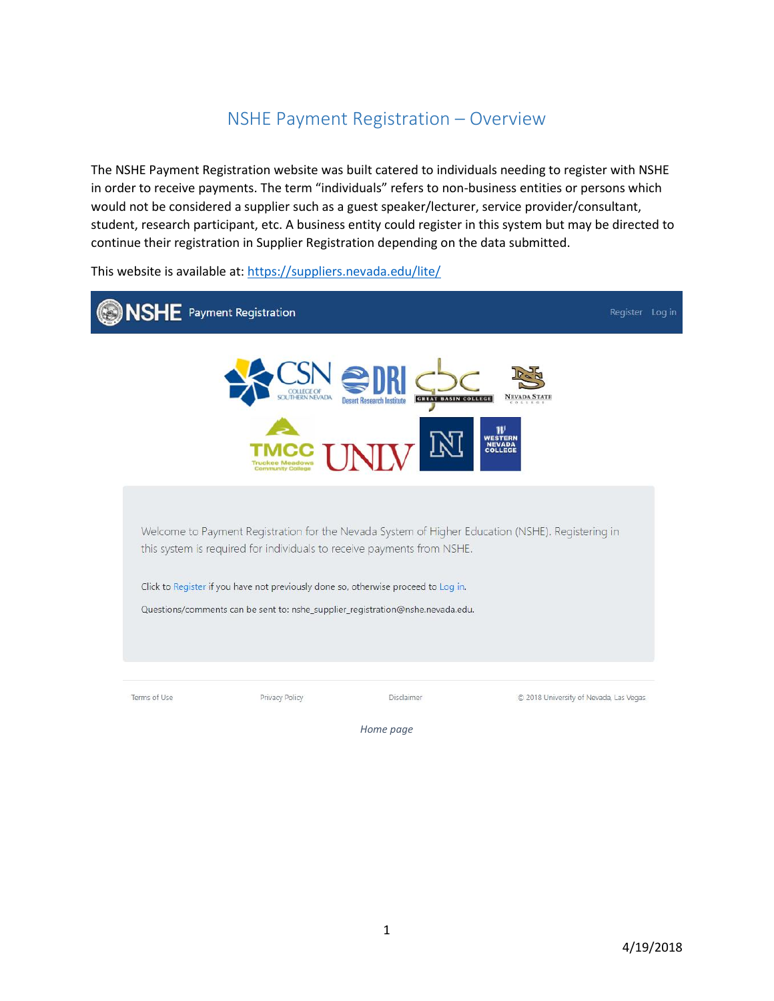## NSHE Payment Registration – Overview

The NSHE Payment Registration website was built catered to individuals needing to register with NSHE in order to receive payments. The term "individuals" refers to non-business entities or persons which would not be considered a supplier such as a guest speaker/lecturer, service provider/consultant, student, research participant, etc. A business entity could register in this system but may be directed to continue their registration in Supplier Registration depending on the data submitted.

This website is available at:<https://suppliers.nevada.edu/lite/>



*Home page*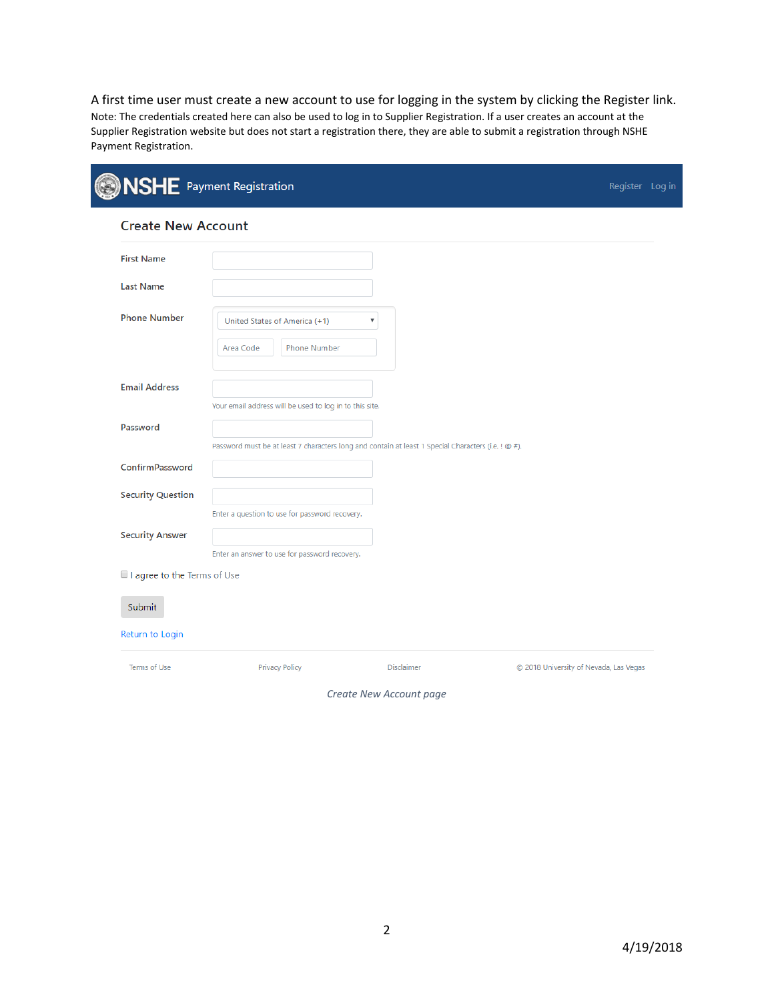A first time user must create a new account to use for logging in the system by clicking the Register link. Note: The credentials created here can also be used to log in to Supplier Registration. If a user creates an account at the Supplier Registration website but does not start a registration there, they are able to submit a registration through NSHE Payment Registration.

|                             | <b>NSHE</b> Payment Registration                                                                    |                   | Register Log in                        |
|-----------------------------|-----------------------------------------------------------------------------------------------------|-------------------|----------------------------------------|
| <b>Create New Account</b>   |                                                                                                     |                   |                                        |
| <b>First Name</b>           |                                                                                                     |                   |                                        |
| <b>Last Name</b>            |                                                                                                     |                   |                                        |
| <b>Phone Number</b>         | United States of America (+1)<br>Area Code<br><b>Phone Number</b>                                   | ۳                 |                                        |
| <b>Email Address</b>        | Your email address will be used to log in to this site.                                             |                   |                                        |
| Password                    | Password must be at least 7 characters long and contain at least 1 Special Characters (i.e. ! @ #). |                   |                                        |
| ConfirmPassword             |                                                                                                     |                   |                                        |
| <b>Security Question</b>    | Enter a question to use for password recovery.                                                      |                   |                                        |
| <b>Security Answer</b>      | Enter an answer to use for password recovery.                                                       |                   |                                        |
| I agree to the Terms of Use |                                                                                                     |                   |                                        |
| Submit                      |                                                                                                     |                   |                                        |
| Return to Login             |                                                                                                     |                   |                                        |
| Terms of Use                | Privacy Policy                                                                                      | <b>Disclaimer</b> | © 2018 University of Nevada, Las Vegas |

*Create New Account page*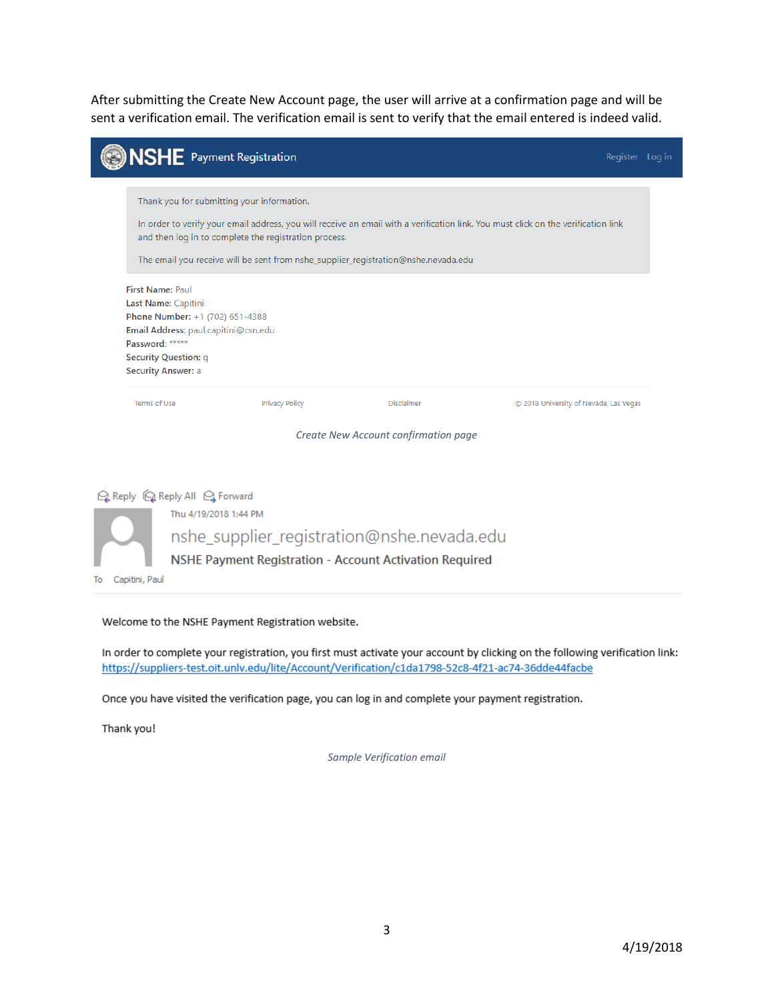After submitting the Create New Account page, the user will arrive at a confirmation page and will be sent a verification email. The verification email is sent to verify that the email entered is indeed valid.

|                                                                         | <b>NSHE</b> Payment Registration                                                                                       |                                                       |                                                                                                       | Register Log in                                                                                                                    |  |
|-------------------------------------------------------------------------|------------------------------------------------------------------------------------------------------------------------|-------------------------------------------------------|-------------------------------------------------------------------------------------------------------|------------------------------------------------------------------------------------------------------------------------------------|--|
|                                                                         | Thank you for submitting your information.                                                                             | and then log in to complete the registration process. | The email you receive will be sent from nshe_supplier_registration@nshe.nevada.edu                    | In order to verify your email address, you will receive an email with a verification link. You must click on the verification link |  |
| <b>First Name: Paul</b><br>Password: *****<br><b>Security Answer: a</b> | Last Name: Capitini<br>Phone Number: +1 (702) 651-4388<br>Email Address: paul.capitini@csn.edu<br>Security Question: q |                                                       |                                                                                                       |                                                                                                                                    |  |
| Terms of Use                                                            |                                                                                                                        | <b>Privacy Policy</b>                                 | Disclaimer<br>Create New Account confirmation page                                                    | C 2018 University of Nevada, Las Vegas                                                                                             |  |
| Capitini, Paul<br>To                                                    | Q Reply Q Reply All Q Forward<br>Thu 4/19/2018 1:44 PM                                                                 |                                                       | nshe_supplier_registration@nshe.nevada.edu<br>NSHE Payment Registration - Account Activation Required |                                                                                                                                    |  |

Welcome to the NSHE Payment Registration website.

In order to complete your registration, you first must activate your account by clicking on the following verification link: https://suppliers-test.oit.unlv.edu/lite/Account/Verification/c1da1798-52c8-4f21-ac74-36dde44facbe

Once you have visited the verification page, you can log in and complete your payment registration.

Thank you!

*Sample Verification email*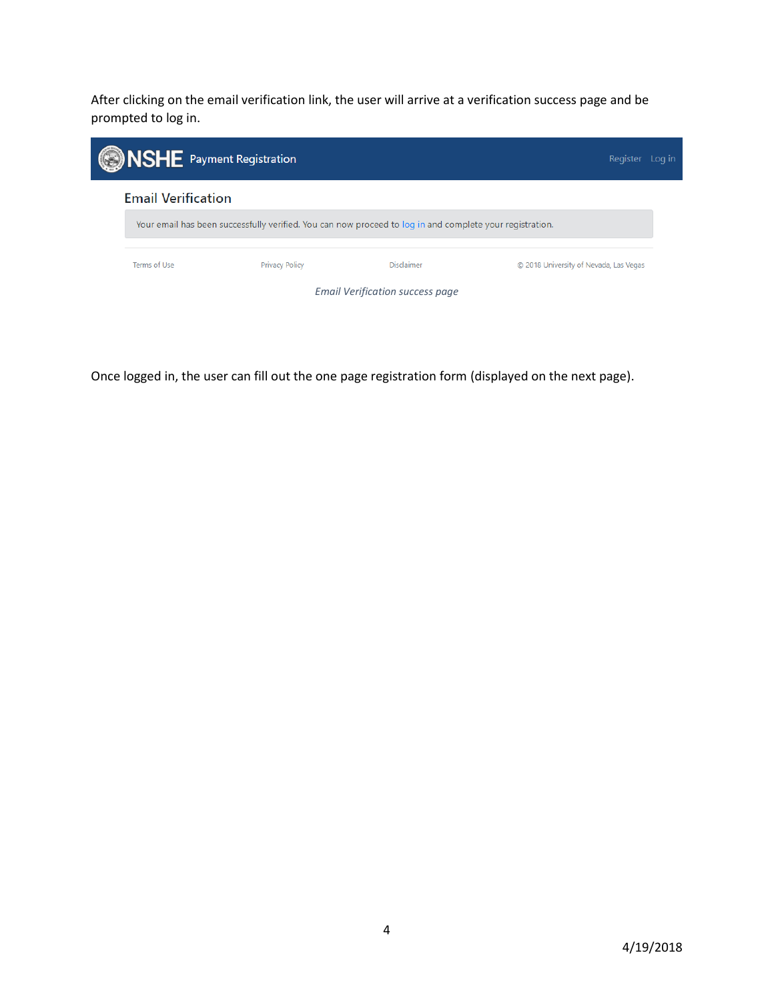After clicking on the email verification link, the user will arrive at a verification success page and be prompted to log in.



Once logged in, the user can fill out the one page registration form (displayed on the next page).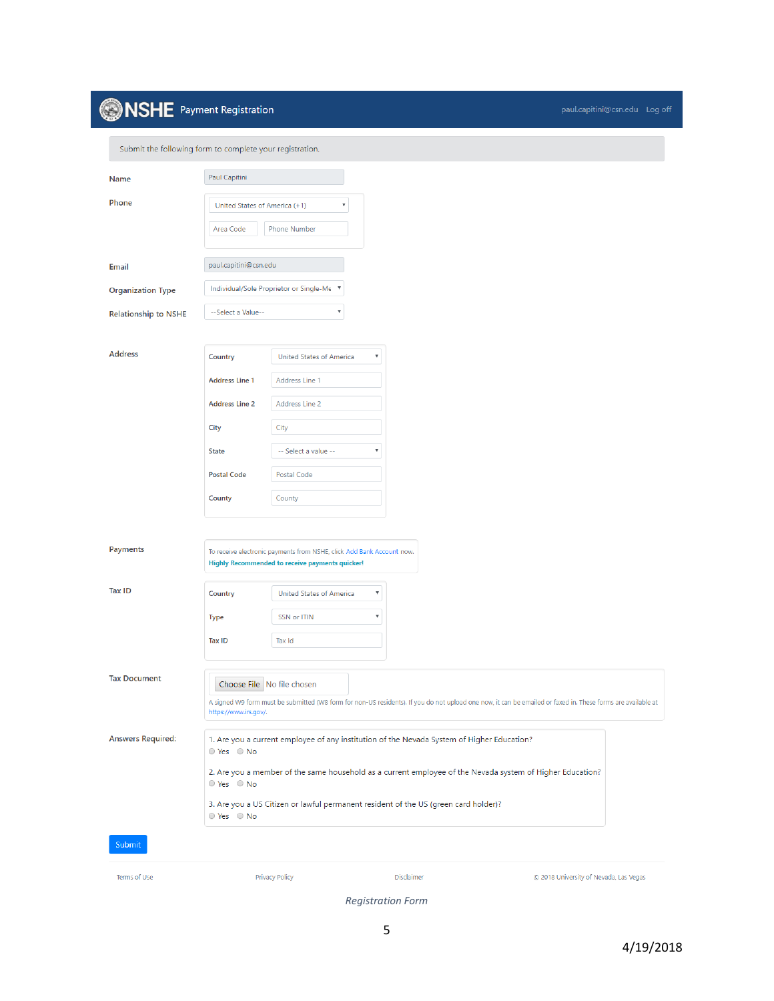## **INSHE** Payment Registration

| Submit the following form to complete your registration. |                                            |                                                                                                                          |                                                                                                                                                                                                                                                                                                |                                        |
|----------------------------------------------------------|--------------------------------------------|--------------------------------------------------------------------------------------------------------------------------|------------------------------------------------------------------------------------------------------------------------------------------------------------------------------------------------------------------------------------------------------------------------------------------------|----------------------------------------|
| Name                                                     | Paul Capitini                              |                                                                                                                          |                                                                                                                                                                                                                                                                                                |                                        |
| Phone                                                    | United States of America (+1)<br>Area Code | $\boldsymbol{\mathrm{v}}$<br><b>Phone Number</b>                                                                         |                                                                                                                                                                                                                                                                                                |                                        |
| Email                                                    | paul.capitini@csn.edu                      |                                                                                                                          |                                                                                                                                                                                                                                                                                                |                                        |
| <b>Organization Type</b>                                 |                                            | Individual/Sole Proprietor or Single-Me ▼                                                                                |                                                                                                                                                                                                                                                                                                |                                        |
| <b>Relationship to NSHE</b>                              | --Select a Value--                         | ۷                                                                                                                        |                                                                                                                                                                                                                                                                                                |                                        |
| <b>Address</b>                                           | Country<br><b>Address Line 1</b>           | <b>United States of America</b><br>$\boldsymbol{\mathrm{v}}$<br>Address Line 1                                           |                                                                                                                                                                                                                                                                                                |                                        |
|                                                          | <b>Address Line 2</b>                      | Address Line 2                                                                                                           |                                                                                                                                                                                                                                                                                                |                                        |
|                                                          | City                                       | City                                                                                                                     |                                                                                                                                                                                                                                                                                                |                                        |
|                                                          | <b>State</b>                               | -- Select a value --<br>v                                                                                                |                                                                                                                                                                                                                                                                                                |                                        |
|                                                          | <b>Postal Code</b>                         | Postal Code                                                                                                              |                                                                                                                                                                                                                                                                                                |                                        |
|                                                          | County                                     | County                                                                                                                   |                                                                                                                                                                                                                                                                                                |                                        |
| Payments                                                 |                                            | To receive electronic payments from NSHE, click Add Bank Account now.<br>Highly Recommended to receive payments quicker! |                                                                                                                                                                                                                                                                                                |                                        |
| Tax ID                                                   | Country                                    | $\pmb{\mathrm{v}}$<br>United States of America                                                                           |                                                                                                                                                                                                                                                                                                |                                        |
|                                                          | <b>Type</b>                                | SSN or ITIN<br>$\boldsymbol{\mathrm{v}}$                                                                                 |                                                                                                                                                                                                                                                                                                |                                        |
|                                                          | <b>Tax ID</b>                              | Tax Id                                                                                                                   |                                                                                                                                                                                                                                                                                                |                                        |
| <b>Tax Document</b>                                      | https://www.irs.gov/.                      | Choose File   No file chosen                                                                                             | A signed W9 form must be submitted (W8 form for non-US residents). If you do not upload one now, it can be emailed or faxed in. These forms are available at                                                                                                                                   |                                        |
| <b>Answers Required:</b>                                 | $O$ Yes $O$ No<br>$O$ Yes $O$ No           |                                                                                                                          | 1. Are you a current employee of any institution of the Nevada System of Higher Education?<br>2. Are you a member of the same household as a current employee of the Nevada system of Higher Education?<br>3. Are you a US Citizen or lawful permanent resident of the US (green card holder)? |                                        |
| Submit                                                   | ○ Yes ○ No                                 |                                                                                                                          |                                                                                                                                                                                                                                                                                                |                                        |
| Terms of Use                                             |                                            | <b>Privacy Policy</b>                                                                                                    | Disclaimer                                                                                                                                                                                                                                                                                     | C 2018 University of Nevada, Las Vegas |

*Registration Form*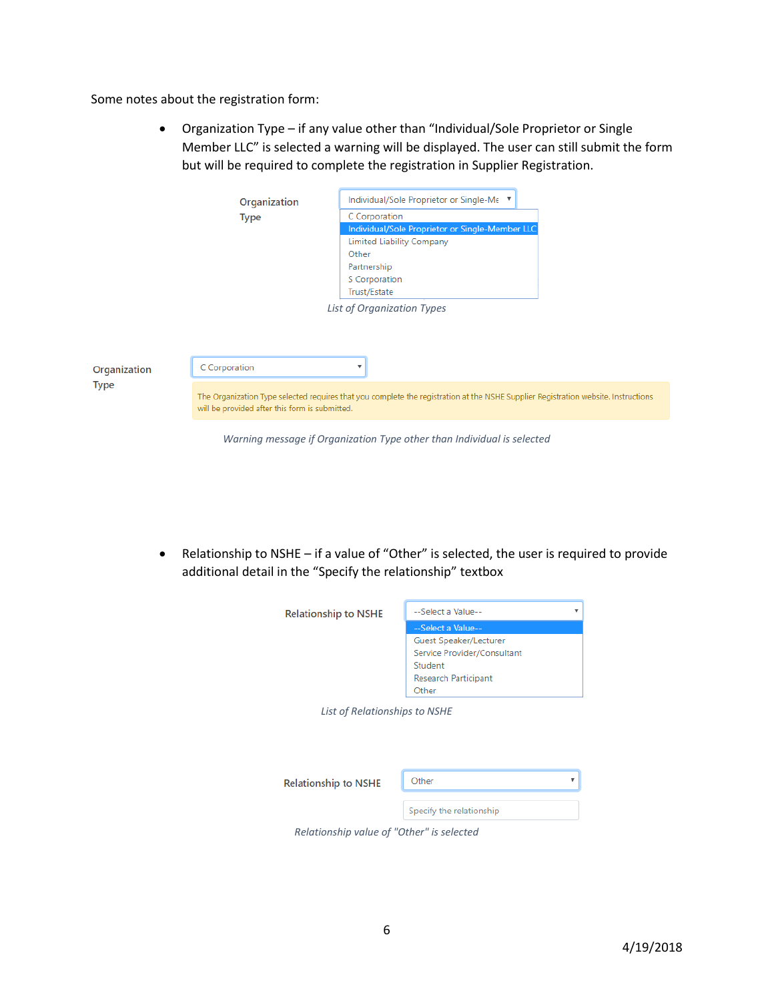Some notes about the registration form:

 Organization Type – if any value other than "Individual/Sole Proprietor or Single Member LLC" is selected a warning will be displayed. The user can still submit the form but will be required to complete the registration in Supplier Registration.

|              | Organization                                   | Individual/Sole Proprietor or Single-Me ▼                                                                                          |  |
|--------------|------------------------------------------------|------------------------------------------------------------------------------------------------------------------------------------|--|
|              | <b>Type</b>                                    | C Corporation                                                                                                                      |  |
|              |                                                | Individual/Sole Proprietor or Single-Member LLC                                                                                    |  |
|              |                                                | <b>Limited Liability Company</b>                                                                                                   |  |
|              |                                                | Other                                                                                                                              |  |
|              |                                                | Partnership                                                                                                                        |  |
|              |                                                | S Corporation                                                                                                                      |  |
|              |                                                | Trust/Estate                                                                                                                       |  |
| Organization | C Corporation                                  | List of Organization Types                                                                                                         |  |
| <b>Type</b>  |                                                |                                                                                                                                    |  |
|              | will be provided after this form is submitted. | The Organization Type selected requires that you complete the registration at the NSHE Supplier Registration website. Instructions |  |
|              |                                                | Warning message if Organization Type other than Individual is selected                                                             |  |

 Relationship to NSHE – if a value of "Other" is selected, the user is required to provide additional detail in the "Specify the relationship" textbox

| <b>Relationship to NSHE</b>   | --Select a Value--          |
|-------------------------------|-----------------------------|
|                               | --Select a Value--          |
|                               | Guest Speaker/Lecturer      |
|                               | Service Provider/Consultant |
|                               | Student                     |
|                               | Research Participant        |
|                               | Other                       |
| List of Relationships to NSHE |                             |
|                               |                             |
|                               |                             |
|                               |                             |

| <b>Relationship to NSHE</b> | Other                    |  |
|-----------------------------|--------------------------|--|
|                             | Specify the relationship |  |

*Relationship value of "Other" is selected*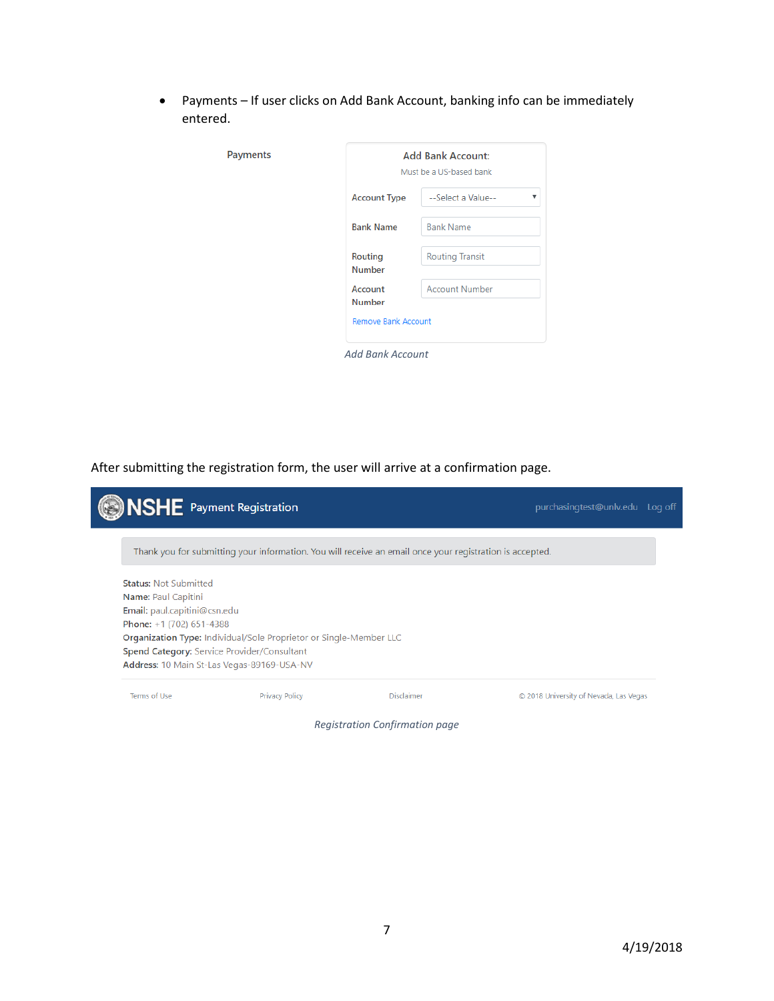Payments – If user clicks on Add Bank Account, banking info can be immediately entered.

|                                             | <b>Add Bank Account:</b><br>Must be a US-based bank |  |  |
|---------------------------------------------|-----------------------------------------------------|--|--|
| <b>Account Type</b>                         | --Select a Value--<br>▼                             |  |  |
| <b>Bank Name</b>                            | <b>Bank Name</b>                                    |  |  |
| <b>Routing</b><br><b>Number</b>             | <b>Routing Transit</b>                              |  |  |
| Account                                     | <b>Account Number</b>                               |  |  |
| <b>Number</b><br><b>Remove Bank Account</b> |                                                     |  |  |
|                                             |                                                     |  |  |

After submitting the registration form, the user will arrive at a confirmation page.

| <b>SHE</b> Payment Registration |                                                                                                          |            | purchasingtest@unlv.edu Log off        |
|---------------------------------|----------------------------------------------------------------------------------------------------------|------------|----------------------------------------|
|                                 | Thank you for submitting your information. You will receive an email once your registration is accepted. |            |                                        |
| <b>Status: Not Submitted</b>    |                                                                                                          |            |                                        |
| Name: Paul Capitini             |                                                                                                          |            |                                        |
| Email: paul.capitini@csn.edu    |                                                                                                          |            |                                        |
| Phone: +1 (702) 651-4388        |                                                                                                          |            |                                        |
|                                 | <b>Organization Type: Individual/Sole Proprietor or Single-Member LLC</b>                                |            |                                        |
|                                 | <b>Spend Category:</b> Service Provider/Consultant                                                       |            |                                        |
|                                 | Address: 10 Main St-Las Vegas-89169-USA-NV                                                               |            |                                        |
| Terms of Use                    | Privacy Policy                                                                                           | Disclaimer | © 2018 University of Nevada, Las Vegas |

*Registration Confirmation page*